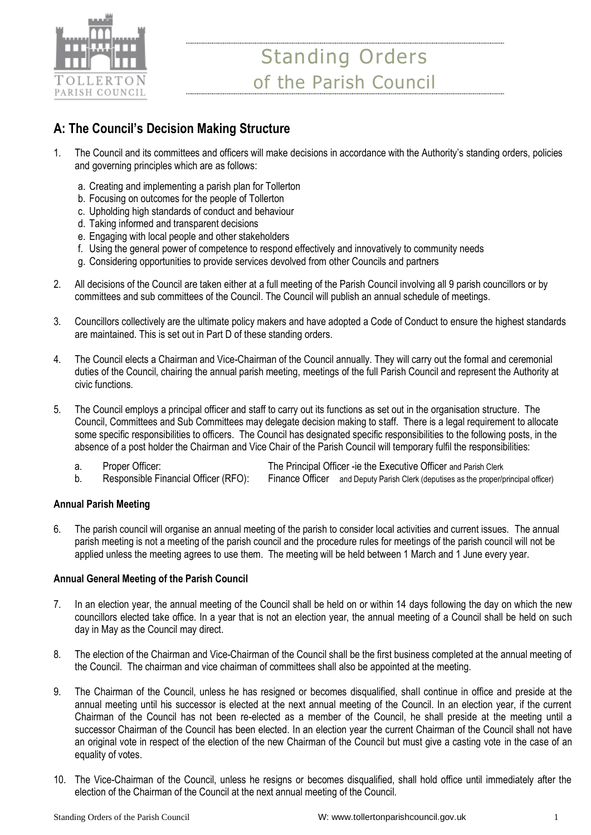

# **A: The Council's Decision Making Structure**

- 1. The Council and its committees and officers will make decisions in accordance with the Authority's standing orders, policies and governing principles which are as follows:
	- a. Creating and implementing a parish plan for Tollerton
	- b. Focusing on outcomes for the people of Tollerton
	- c. Upholding high standards of conduct and behaviour
	- d. Taking informed and transparent decisions
	- e. Engaging with local people and other stakeholders
	- f. Using the general power of competence to respond effectively and innovatively to community needs
	- g. Considering opportunities to provide services devolved from other Councils and partners
- 2. All decisions of the Council are taken either at a full meeting of the Parish Council involving all 9 parish councillors or by committees and sub committees of the Council. The Council will publish an annual schedule of meetings.
- 3. Councillors collectively are the ultimate policy makers and have adopted a Code of Conduct to ensure the highest standards are maintained. This is set out in Part D of these standing orders.
- 4. The Council elects a Chairman and Vice-Chairman of the Council annually. They will carry out the formal and ceremonial duties of the Council, chairing the annual parish meeting, meetings of the full Parish Council and represent the Authority at civic functions.
- 5. The Council employs a principal officer and staff to carry out its functions as set out in the organisation structure. The Council, Committees and Sub Committees may delegate decision making to staff. There is a legal requirement to allocate some specific responsibilities to officers. The Council has designated specific responsibilities to the following posts, in the absence of a post holder the Chairman and Vice Chair of the Parish Council will temporary fulfil the responsibilities:
	- a. Proper Officer: The Principal Officer -ie the Executive Officer and Parish Clerk
	- b. Responsible Financial Officer (RFO): Finance Officer and Deputy Parish Clerk (deputises as the proper/principal officer)

### **Annual Parish Meeting**

6. The parish council will organise an annual meeting of the parish to consider local activities and current issues. The annual parish meeting is not a meeting of the parish council and the procedure rules for meetings of the parish council will not be applied unless the meeting agrees to use them. The meeting will be held between 1 March and 1 June every year.

### **Annual General Meeting of the Parish Council**

- 7. In an election year, the annual meeting of the Council shall be held on or within 14 days following the day on which the new councillors elected take office. In a year that is not an election year, the annual meeting of a Council shall be held on such day in May as the Council may direct.
- 8. The election of the Chairman and Vice-Chairman of the Council shall be the first business completed at the annual meeting of the Council. The chairman and vice chairman of committees shall also be appointed at the meeting.
- 9. The Chairman of the Council, unless he has resigned or becomes disqualified, shall continue in office and preside at the annual meeting until his successor is elected at the next annual meeting of the Council. In an election year, if the current Chairman of the Council has not been re-elected as a member of the Council, he shall preside at the meeting until a successor Chairman of the Council has been elected. In an election year the current Chairman of the Council shall not have an original vote in respect of the election of the new Chairman of the Council but must give a casting vote in the case of an equality of votes.
- 10. The Vice-Chairman of the Council, unless he resigns or becomes disqualified, shall hold office until immediately after the election of the Chairman of the Council at the next annual meeting of the Council.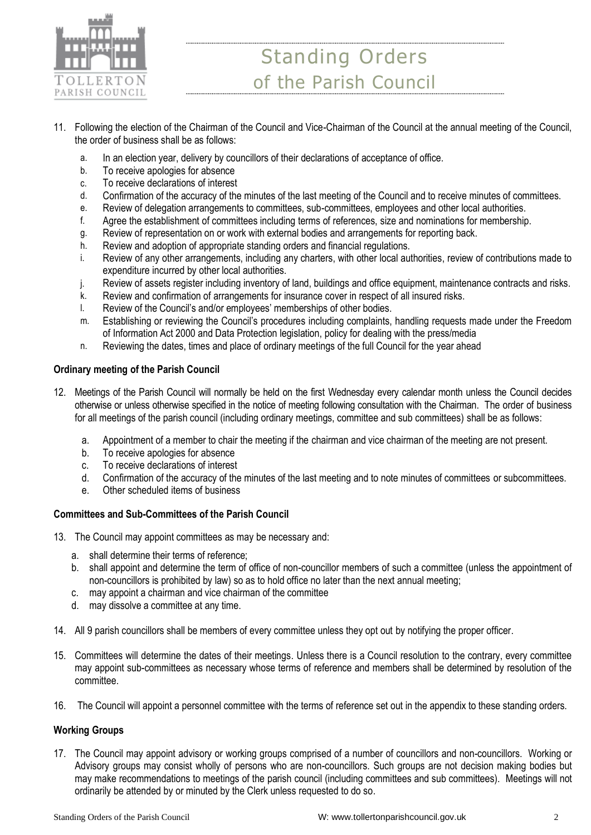

- 11. Following the election of the Chairman of the Council and Vice-Chairman of the Council at the annual meeting of the Council, the order of business shall be as follows:
	- a. In an election year, delivery by councillors of their declarations of acceptance of office.
	- b. To receive apologies for absence
	- c. To receive declarations of interest
	- d. Confirmation of the accuracy of the minutes of the last meeting of the Council and to receive minutes of committees.
	- e. Review of delegation arrangements to committees, sub-committees, employees and other local authorities.
	- f. Agree the establishment of committees including terms of references, size and nominations for membership.
	- g. Review of representation on or work with external bodies and arrangements for reporting back.
	- h. Review and adoption of appropriate standing orders and financial regulations.
	- i. Review of any other arrangements, including any charters, with other local authorities, review of contributions made to expenditure incurred by other local authorities.
	- j. Review of assets register including inventory of land, buildings and office equipment, maintenance contracts and risks.
	- k. Review and confirmation of arrangements for insurance cover in respect of all insured risks.
	- l. Review of the Council's and/or employees' memberships of other bodies.
	- m. Establishing or reviewing the Council's procedures including complaints, handling requests made under the Freedom of Information Act 2000 and Data Protection legislation, policy for dealing with the press/media
	- n. Reviewing the dates, times and place of ordinary meetings of the full Council for the year ahead

## **Ordinary meeting of the Parish Council**

- 12. Meetings of the Parish Council will normally be held on the first Wednesday every calendar month unless the Council decides otherwise or unless otherwise specified in the notice of meeting following consultation with the Chairman. The order of business for all meetings of the parish council (including ordinary meetings, committee and sub committees) shall be as follows:
	- a. Appointment of a member to chair the meeting if the chairman and vice chairman of the meeting are not present.
	- b. To receive apologies for absence
	- c. To receive declarations of interest
	- d. Confirmation of the accuracy of the minutes of the last meeting and to note minutes of committees or subcommittees.
	- e. Other scheduled items of business

## **Committees and Sub-Committees of the Parish Council**

- 13. The Council may appoint committees as may be necessary and:
	- a. shall determine their terms of reference;
	- b. shall appoint and determine the term of office of non-councillor members of such a committee (unless the appointment of non-councillors is prohibited by law) so as to hold office no later than the next annual meeting;
	- c. may appoint a chairman and vice chairman of the committee
	- d. may dissolve a committee at any time.
- 14. All 9 parish councillors shall be members of every committee unless they opt out by notifying the proper officer.
- 15. Committees will determine the dates of their meetings. Unless there is a Council resolution to the contrary, every committee may appoint sub-committees as necessary whose terms of reference and members shall be determined by resolution of the committee.
- 16. The Council will appoint a personnel committee with the terms of reference set out in the appendix to these standing orders.

## **Working Groups**

17. The Council may appoint advisory or working groups comprised of a number of councillors and non-councillors. Working or Advisory groups may consist wholly of persons who are non-councillors. Such groups are not decision making bodies but may make recommendations to meetings of the parish council (including committees and sub committees). Meetings will not ordinarily be attended by or minuted by the Clerk unless requested to do so.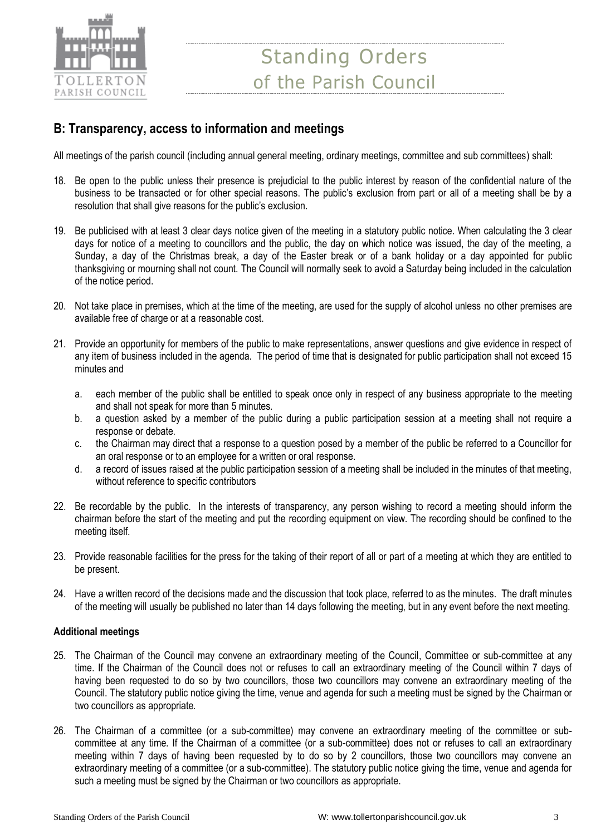

# **B: Transparency, access to information and meetings**

All meetings of the parish council (including annual general meeting, ordinary meetings, committee and sub committees) shall:

- 18. Be open to the public unless their presence is prejudicial to the public interest by reason of the confidential nature of the business to be transacted or for other special reasons. The public's exclusion from part or all of a meeting shall be by a resolution that shall give reasons for the public's exclusion.
- 19. Be publicised with at least 3 clear days notice given of the meeting in a statutory public notice. When calculating the 3 clear days for notice of a meeting to councillors and the public, the day on which notice was issued, the day of the meeting, a Sunday, a day of the Christmas break, a day of the Easter break or of a bank holiday or a day appointed for public thanksgiving or mourning shall not count. The Council will normally seek to avoid a Saturday being included in the calculation of the notice period.
- 20. Not take place in premises, which at the time of the meeting, are used for the supply of alcohol unless no other premises are available free of charge or at a reasonable cost.
- 21. Provide an opportunity for members of the public to make representations, answer questions and give evidence in respect of any item of business included in the agenda. The period of time that is designated for public participation shall not exceed 15 minutes and
	- a. each member of the public shall be entitled to speak once only in respect of any business appropriate to the meeting and shall not speak for more than 5 minutes.
	- b. a question asked by a member of the public during a public participation session at a meeting shall not require a response or debate.
	- c. the Chairman may direct that a response to a question posed by a member of the public be referred to a Councillor for an oral response or to an employee for a written or oral response.
	- d. a record of issues raised at the public participation session of a meeting shall be included in the minutes of that meeting, without reference to specific contributors
- 22. Be recordable by the public. In the interests of transparency, any person wishing to record a meeting should inform the chairman before the start of the meeting and put the recording equipment on view. The recording should be confined to the meeting itself.
- 23. Provide reasonable facilities for the press for the taking of their report of all or part of a meeting at which they are entitled to be present.
- 24. Have a written record of the decisions made and the discussion that took place, referred to as the minutes. The draft minutes of the meeting will usually be published no later than 14 days following the meeting, but in any event before the next meeting.

### **Additional meetings**

- 25. The Chairman of the Council may convene an extraordinary meeting of the Council, Committee or sub-committee at any time. If the Chairman of the Council does not or refuses to call an extraordinary meeting of the Council within 7 days of having been requested to do so by two councillors, those two councillors may convene an extraordinary meeting of the Council. The statutory public notice giving the time, venue and agenda for such a meeting must be signed by the Chairman or two councillors as appropriate.
- 26. The Chairman of a committee (or a sub-committee) may convene an extraordinary meeting of the committee or subcommittee at any time. If the Chairman of a committee (or a sub-committee) does not or refuses to call an extraordinary meeting within 7 days of having been requested by to do so by 2 councillors, those two councillors may convene an extraordinary meeting of a committee (or a sub-committee). The statutory public notice giving the time, venue and agenda for such a meeting must be signed by the Chairman or two councillors as appropriate.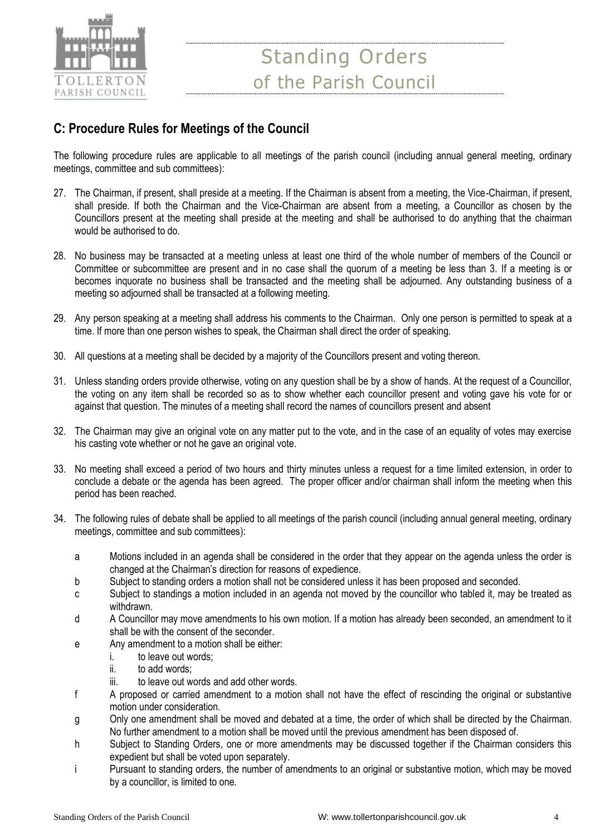

# **C: Procedure Rules for Meetings of the Council**

The following procedure rules are applicable to all meetings of the parish council (including annual general meeting, ordinary meetings, committee and sub committees):

- 27. The Chairman, if present, shall preside at a meeting. If the Chairman is absent from a meeting, the Vice-Chairman, if present, shall preside. If both the Chairman and the Vice-Chairman are absent from a meeting, a Councillor as chosen by the Councillors present at the meeting shall preside at the meeting and shall be authorised to do anything that the chairman would be authorised to do.
- 28. No business may be transacted at a meeting unless at least one third of the whole number of members of the Council or Committee or subcommittee are present and in no case shall the quorum of a meeting be less than 3. If a meeting is or becomes inquorate no business shall be transacted and the meeting shall be adjourned. Any outstanding business of a meeting so adjourned shall be transacted at a following meeting.
- 29. Any person speaking at a meeting shall address his comments to the Chairman. Only one person is permitted to speak at a time. If more than one person wishes to speak, the Chairman shall direct the order of speaking.
- 30. All questions at a meeting shall be decided by a majority of the Councillors present and voting thereon.
- 31. Unless standing orders provide otherwise, voting on any question shall be by a show of hands. At the request of a Councillor, the voting on any item shall be recorded so as to show whether each councillor present and voting gave his vote for or against that question. The minutes of a meeting shall record the names of councillors present and absent
- 32. The Chairman may give an original vote on any matter put to the vote, and in the case of an equality of votes may exercise his casting vote whether or not he gave an original vote.
- 33. No meeting shall exceed a period of two hours and thirty minutes unless a request for a time limited extension, in order to conclude a debate or the agenda has been agreed. The proper officer and/or chairman shall inform the meeting when this period has been reached.
- 34. The following rules of debate shall be applied to all meetings of the parish council (including annual general meeting, ordinary meetings, committee and sub committees):
	- a Motions included in an agenda shall be considered in the order that they appear on the agenda unless the order is changed at the Chairman's direction for reasons of expedience.
	- b Subject to standing orders a motion shall not be considered unless it has been proposed and seconded.
	- c Subject to standings a motion included in an agenda not moved by the councillor who tabled it, may be treated as withdrawn.
	- d A Councillor may move amendments to his own motion. If a motion has already been seconded, an amendment to it shall be with the consent of the seconder.
	- e Any amendment to a motion shall be either:
		- i. to leave out words;
		- ii. to add words;
		- iii. to leave out words and add other words.
	- f A proposed or carried amendment to a motion shall not have the effect of rescinding the original or substantive motion under consideration.
	- g Only one amendment shall be moved and debated at a time, the order of which shall be directed by the Chairman. No further amendment to a motion shall be moved until the previous amendment has been disposed of.
	- h Subject to Standing Orders, one or more amendments may be discussed together if the Chairman considers this expedient but shall be voted upon separately.
	- i Pursuant to standing orders, the number of amendments to an original or substantive motion, which may be moved by a councillor, is limited to one.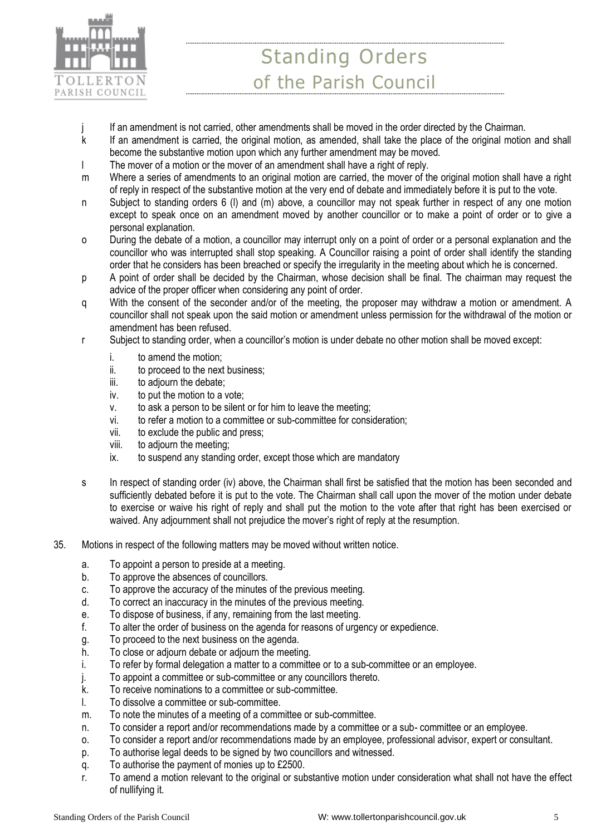

- j If an amendment is not carried, other amendments shall be moved in the order directed by the Chairman.
- k If an amendment is carried, the original motion, as amended, shall take the place of the original motion and shall become the substantive motion upon which any further amendment may be moved.
- l The mover of a motion or the mover of an amendment shall have a right of reply.
- m Where a series of amendments to an original motion are carried, the mover of the original motion shall have a right of reply in respect of the substantive motion at the very end of debate and immediately before it is put to the vote.
- n Subject to standing orders 6 (l) and (m) above, a councillor may not speak further in respect of any one motion except to speak once on an amendment moved by another councillor or to make a point of order or to give a personal explanation.
- o During the debate of a motion, a councillor may interrupt only on a point of order or a personal explanation and the councillor who was interrupted shall stop speaking. A Councillor raising a point of order shall identify the standing order that he considers has been breached or specify the irregularity in the meeting about which he is concerned.
- p A point of order shall be decided by the Chairman, whose decision shall be final. The chairman may request the advice of the proper officer when considering any point of order.
- q With the consent of the seconder and/or of the meeting, the proposer may withdraw a motion or amendment. A councillor shall not speak upon the said motion or amendment unless permission for the withdrawal of the motion or amendment has been refused.
- r Subject to standing order, when a councillor's motion is under debate no other motion shall be moved except:
	- i. to amend the motion;
	- ii. to proceed to the next business;
	- iii. to adjourn the debate;
	- iv. to put the motion to a vote;
	- v. to ask a person to be silent or for him to leave the meeting;
	- vi. to refer a motion to a committee or sub-committee for consideration;
	- vii. to exclude the public and press;
	- viii. to adjourn the meeting;
	- ix. to suspend any standing order, except those which are mandatory
- s In respect of standing order (iv) above, the Chairman shall first be satisfied that the motion has been seconded and sufficiently debated before it is put to the vote. The Chairman shall call upon the mover of the motion under debate to exercise or waive his right of reply and shall put the motion to the vote after that right has been exercised or waived. Any adjournment shall not prejudice the mover's right of reply at the resumption.
- 35. Motions in respect of the following matters may be moved without written notice.
	- a. To appoint a person to preside at a meeting.
	- b. To approve the absences of councillors.
	- c. To approve the accuracy of the minutes of the previous meeting.
	- d. To correct an inaccuracy in the minutes of the previous meeting.
	- e. To dispose of business, if any, remaining from the last meeting.
	- f. To alter the order of business on the agenda for reasons of urgency or expedience.
	- g. To proceed to the next business on the agenda.
	- h. To close or adjourn debate or adjourn the meeting.
	- i. To refer by formal delegation a matter to a committee or to a sub-committee or an employee.
	- j. To appoint a committee or sub-committee or any councillors thereto.
	- k. To receive nominations to a committee or sub-committee.
	- l. To dissolve a committee or sub-committee.
	- m. To note the minutes of a meeting of a committee or sub-committee.
	- n. To consider a report and/or recommendations made by a committee or a sub- committee or an employee.
	- o. To consider a report and/or recommendations made by an employee, professional advisor, expert or consultant.
	- p. To authorise legal deeds to be signed by two councillors and witnessed.
	- q. To authorise the payment of monies up to £2500.
	- r. To amend a motion relevant to the original or substantive motion under consideration what shall not have the effect of nullifying it.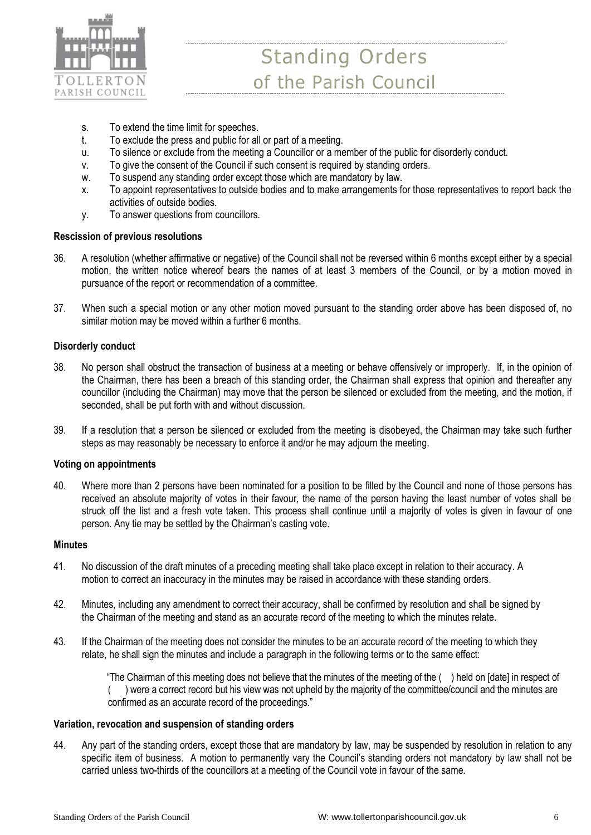

- s. To extend the time limit for speeches.
- t. To exclude the press and public for all or part of a meeting.
- u. To silence or exclude from the meeting a Councillor or a member of the public for disorderly conduct.
- v. To give the consent of the Council if such consent is required by standing orders.
- w. To suspend any standing order except those which are mandatory by law.
- x. To appoint representatives to outside bodies and to make arrangements for those representatives to report back the activities of outside bodies.
- y. To answer questions from councillors.

#### **Rescission of previous resolutions**

- 36. A resolution (whether affirmative or negative) of the Council shall not be reversed within 6 months except either by a special motion, the written notice whereof bears the names of at least 3 members of the Council, or by a motion moved in pursuance of the report or recommendation of a committee.
- 37. When such a special motion or any other motion moved pursuant to the standing order above has been disposed of, no similar motion may be moved within a further 6 months.

#### **Disorderly conduct**

- 38. No person shall obstruct the transaction of business at a meeting or behave offensively or improperly. If, in the opinion of the Chairman, there has been a breach of this standing order, the Chairman shall express that opinion and thereafter any councillor (including the Chairman) may move that the person be silenced or excluded from the meeting, and the motion, if seconded, shall be put forth with and without discussion.
- 39. If a resolution that a person be silenced or excluded from the meeting is disobeyed, the Chairman may take such further steps as may reasonably be necessary to enforce it and/or he may adjourn the meeting.

#### **Voting on appointments**

40. Where more than 2 persons have been nominated for a position to be filled by the Council and none of those persons has received an absolute majority of votes in their favour, the name of the person having the least number of votes shall be struck off the list and a fresh vote taken. This process shall continue until a majority of votes is given in favour of one person. Any tie may be settled by the Chairman's casting vote.

#### **Minutes**

- 41. No discussion of the draft minutes of a preceding meeting shall take place except in relation to their accuracy. A motion to correct an inaccuracy in the minutes may be raised in accordance with these standing orders.
- 42. Minutes, including any amendment to correct their accuracy, shall be confirmed by resolution and shall be signed by the Chairman of the meeting and stand as an accurate record of the meeting to which the minutes relate.
- 43. If the Chairman of the meeting does not consider the minutes to be an accurate record of the meeting to which they relate, he shall sign the minutes and include a paragraph in the following terms or to the same effect:

 "The Chairman of this meeting does not believe that the minutes of the meeting of the ( ) held on [date] in respect of ( ) were a correct record but his view was not upheld by the majority of the committee/council and the minutes are confirmed as an accurate record of the proceedings."

#### **Variation, revocation and suspension of standing orders**

44. Any part of the standing orders, except those that are mandatory by law, may be suspended by resolution in relation to any specific item of business. A motion to permanently vary the Council's standing orders not mandatory by law shall not be carried unless two-thirds of the councillors at a meeting of the Council vote in favour of the same.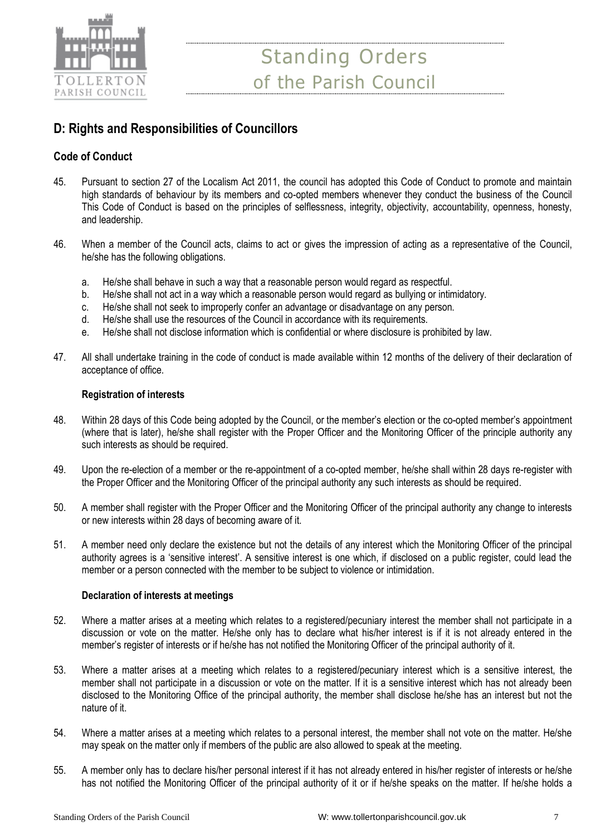

# **D: Rights and Responsibilities of Councillors**

# **Code of Conduct**

- 45. Pursuant to section 27 of the Localism Act 2011, the council has adopted this Code of Conduct to promote and maintain high standards of behaviour by its members and co-opted members whenever they conduct the business of the Council This Code of Conduct is based on the principles of selflessness, integrity, objectivity, accountability, openness, honesty, and leadership.
- 46. When a member of the Council acts, claims to act or gives the impression of acting as a representative of the Council, he/she has the following obligations.
	- a. He/she shall behave in such a way that a reasonable person would regard as respectful.
	- b. He/she shall not act in a way which a reasonable person would regard as bullying or intimidatory.
	- c. He/she shall not seek to improperly confer an advantage or disadvantage on any person.
	- d. He/she shall use the resources of the Council in accordance with its requirements.
	- e. He/she shall not disclose information which is confidential or where disclosure is prohibited by law.
- 47. All shall undertake training in the code of conduct is made available within 12 months of the delivery of their declaration of acceptance of office.

## **Registration of interests**

- 48. Within 28 days of this Code being adopted by the Council, or the member's election or the co-opted member's appointment (where that is later), he/she shall register with the Proper Officer and the Monitoring Officer of the principle authority any such interests as should be required.
- 49. Upon the re-election of a member or the re-appointment of a co-opted member, he/she shall within 28 days re-register with the Proper Officer and the Monitoring Officer of the principal authority any such interests as should be required.
- 50. A member shall register with the Proper Officer and the Monitoring Officer of the principal authority any change to interests or new interests within 28 days of becoming aware of it.
- 51. A member need only declare the existence but not the details of any interest which the Monitoring Officer of the principal authority agrees is a 'sensitive interest'. A sensitive interest is one which, if disclosed on a public register, could lead the member or a person connected with the member to be subject to violence or intimidation.

### **Declaration of interests at meetings**

- 52. Where a matter arises at a meeting which relates to a registered/pecuniary interest the member shall not participate in a discussion or vote on the matter. He/she only has to declare what his/her interest is if it is not already entered in the member's register of interests or if he/she has not notified the Monitoring Officer of the principal authority of it.
- 53. Where a matter arises at a meeting which relates to a registered/pecuniary interest which is a sensitive interest, the member shall not participate in a discussion or vote on the matter. If it is a sensitive interest which has not already been disclosed to the Monitoring Office of the principal authority, the member shall disclose he/she has an interest but not the nature of it.
- 54. Where a matter arises at a meeting which relates to a personal interest, the member shall not vote on the matter. He/she may speak on the matter only if members of the public are also allowed to speak at the meeting.
- 55. A member only has to declare his/her personal interest if it has not already entered in his/her register of interests or he/she has not notified the Monitoring Officer of the principal authority of it or if he/she speaks on the matter. If he/she holds a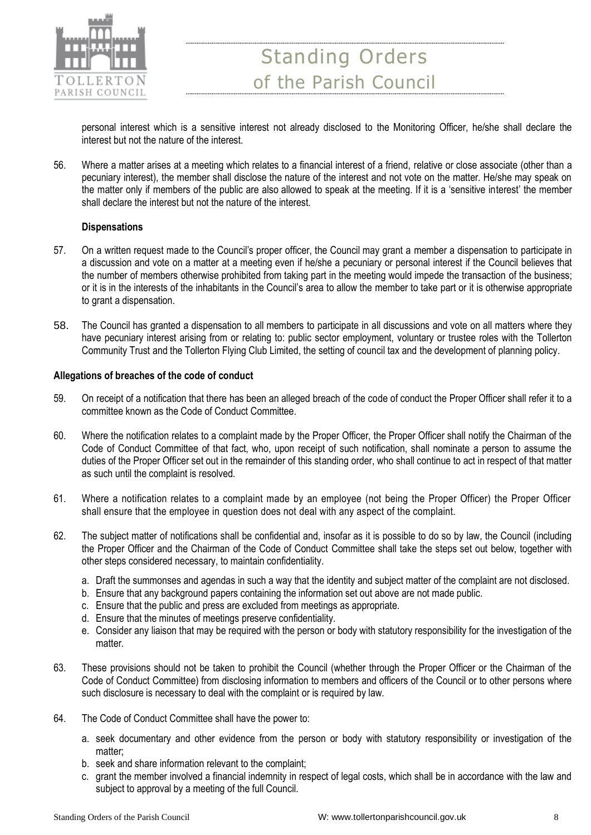

personal interest which is a sensitive interest not already disclosed to the Monitoring Officer, he/she shall declare the interest but not the nature of the interest.

56. Where a matter arises at a meeting which relates to a financial interest of a friend, relative or close associate (other than a pecuniary interest), the member shall disclose the nature of the interest and not vote on the matter. He/she may speak on the matter only if members of the public are also allowed to speak at the meeting. If it is a 'sensitive interest' the member shall declare the interest but not the nature of the interest.

### **Dispensations**

- 57. On a written request made to the Council's proper officer, the Council may grant a member a dispensation to participate in a discussion and vote on a matter at a meeting even if he/she a pecuniary or personal interest if the Council believes that the number of members otherwise prohibited from taking part in the meeting would impede the transaction of the business; or it is in the interests of the inhabitants in the Council's area to allow the member to take part or it is otherwise appropriate to grant a dispensation.
- 58. The Council has granted a dispensation to all members to participate in all discussions and vote on all matters where they have pecuniary interest arising from or relating to: public sector employment, voluntary or trustee roles with the Tollerton Community Trust and the Tollerton Flying Club Limited, the setting of council tax and the development of planning policy.

#### **Allegations of breaches of the code of conduct**

- 59. On receipt of a notification that there has been an alleged breach of the code of conduct the Proper Officer shall refer it to a committee known as the Code of Conduct Committee.
- 60. Where the notification relates to a complaint made by the Proper Officer, the Proper Officer shall notify the Chairman of the Code of Conduct Committee of that fact, who, upon receipt of such notification, shall nominate a person to assume the duties of the Proper Officer set out in the remainder of this standing order, who shall continue to act in respect of that matter as such until the complaint is resolved.
- 61. Where a notification relates to a complaint made by an employee (not being the Proper Officer) the Proper Officer shall ensure that the employee in question does not deal with any aspect of the complaint.
- 62. The subject matter of notifications shall be confidential and, insofar as it is possible to do so by law, the Council (including the Proper Officer and the Chairman of the Code of Conduct Committee shall take the steps set out below, together with other steps considered necessary, to maintain confidentiality.
	- a. Draft the summonses and agendas in such a way that the identity and subject matter of the complaint are not disclosed.
	- b. Ensure that any background papers containing the information set out above are not made public.
	- c. Ensure that the public and press are excluded from meetings as appropriate.
	- d. Ensure that the minutes of meetings preserve confidentiality.
	- e. Consider any liaison that may be required with the person or body with statutory responsibility for the investigation of the matter.
- 63. These provisions should not be taken to prohibit the Council (whether through the Proper Officer or the Chairman of the Code of Conduct Committee) from disclosing information to members and officers of the Council or to other persons where such disclosure is necessary to deal with the complaint or is required by law.
- 64. The Code of Conduct Committee shall have the power to:
	- a. seek documentary and other evidence from the person or body with statutory responsibility or investigation of the matter;
	- b. seek and share information relevant to the complaint;
	- c. grant the member involved a financial indemnity in respect of legal costs, which shall be in accordance with the law and subject to approval by a meeting of the full Council.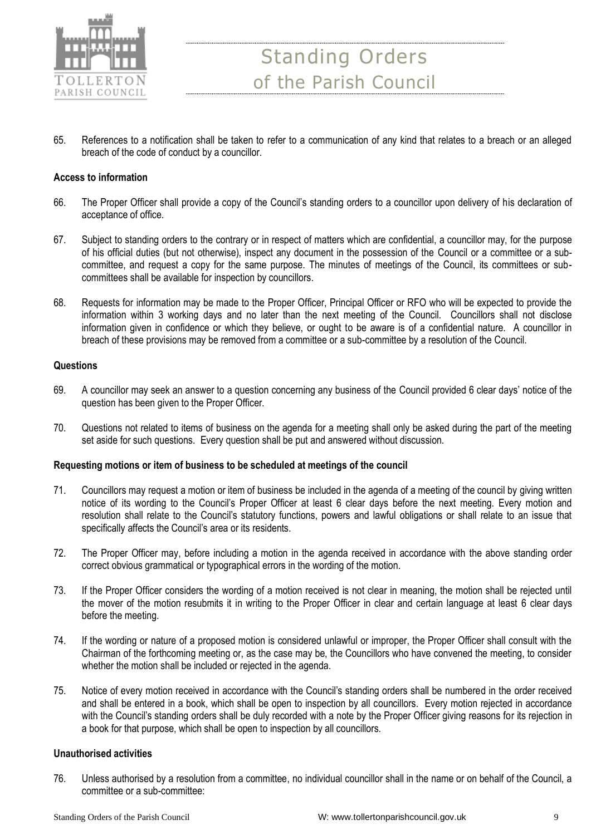

65. References to a notification shall be taken to refer to a communication of any kind that relates to a breach or an alleged breach of the code of conduct by a councillor.

#### **Access to information**

- 66. The Proper Officer shall provide a copy of the Council's standing orders to a councillor upon delivery of his declaration of acceptance of office.
- 67. Subject to standing orders to the contrary or in respect of matters which are confidential, a councillor may, for the purpose of his official duties (but not otherwise), inspect any document in the possession of the Council or a committee or a subcommittee, and request a copy for the same purpose. The minutes of meetings of the Council, its committees or subcommittees shall be available for inspection by councillors.
- 68. Requests for information may be made to the Proper Officer, Principal Officer or RFO who will be expected to provide the information within 3 working days and no later than the next meeting of the Council. Councillors shall not disclose information given in confidence or which they believe, or ought to be aware is of a confidential nature. A councillor in breach of these provisions may be removed from a committee or a sub-committee by a resolution of the Council.

#### **Questions**

- 69. A councillor may seek an answer to a question concerning any business of the Council provided 6 clear days' notice of the question has been given to the Proper Officer.
- 70. Questions not related to items of business on the agenda for a meeting shall only be asked during the part of the meeting set aside for such questions. Every question shall be put and answered without discussion.

#### **Requesting motions or item of business to be scheduled at meetings of the council**

- 71. Councillors may request a motion or item of business be included in the agenda of a meeting of the council by giving written notice of its wording to the Council's Proper Officer at least 6 clear days before the next meeting. Every motion and resolution shall relate to the Council's statutory functions, powers and lawful obligations or shall relate to an issue that specifically affects the Council's area or its residents.
- 72. The Proper Officer may, before including a motion in the agenda received in accordance with the above standing order correct obvious grammatical or typographical errors in the wording of the motion.
- 73. If the Proper Officer considers the wording of a motion received is not clear in meaning, the motion shall be rejected until the mover of the motion resubmits it in writing to the Proper Officer in clear and certain language at least 6 clear days before the meeting.
- 74. If the wording or nature of a proposed motion is considered unlawful or improper, the Proper Officer shall consult with the Chairman of the forthcoming meeting or, as the case may be, the Councillors who have convened the meeting, to consider whether the motion shall be included or rejected in the agenda.
- 75. Notice of every motion received in accordance with the Council's standing orders shall be numbered in the order received and shall be entered in a book, which shall be open to inspection by all councillors. Every motion rejected in accordance with the Council's standing orders shall be duly recorded with a note by the Proper Officer giving reasons for its rejection in a book for that purpose, which shall be open to inspection by all councillors.

### **Unauthorised activities**

76. Unless authorised by a resolution from a committee, no individual councillor shall in the name or on behalf of the Council, a committee or a sub-committee: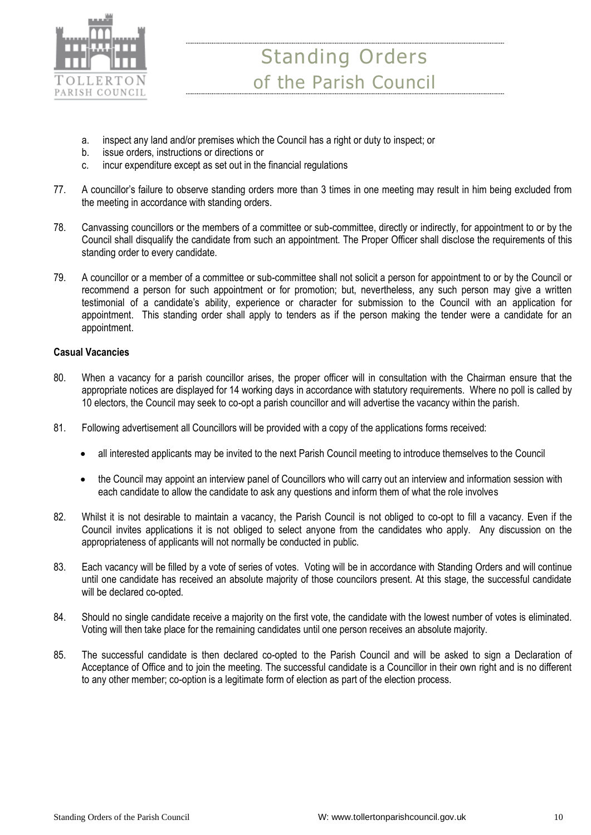

- a. inspect any land and/or premises which the Council has a right or duty to inspect; or
- b. issue orders, instructions or directions or
- c. incur expenditure except as set out in the financial regulations
- 77. A councillor's failure to observe standing orders more than 3 times in one meeting may result in him being excluded from the meeting in accordance with standing orders.
- 78. Canvassing councillors or the members of a committee or sub-committee, directly or indirectly, for appointment to or by the Council shall disqualify the candidate from such an appointment. The Proper Officer shall disclose the requirements of this standing order to every candidate.
- 79. A councillor or a member of a committee or sub-committee shall not solicit a person for appointment to or by the Council or recommend a person for such appointment or for promotion; but, nevertheless, any such person may give a written testimonial of a candidate's ability, experience or character for submission to the Council with an application for appointment. This standing order shall apply to tenders as if the person making the tender were a candidate for an appointment.

# **Casual Vacancies**

- 80. When a vacancy for a parish councillor arises, the proper officer will in consultation with the Chairman ensure that the appropriate notices are displayed for 14 working days in accordance with statutory requirements. Where no poll is called by 10 electors, the Council may seek to co-opt a parish councillor and will advertise the vacancy within the parish.
- 81. Following advertisement all Councillors will be provided with a copy of the applications forms received:
	- all interested applicants may be invited to the next Parish Council meeting to introduce themselves to the Council
	- the Council may appoint an interview panel of Councillors who will carry out an interview and information session with each candidate to allow the candidate to ask any questions and inform them of what the role involves
- 82. Whilst it is not desirable to maintain a vacancy, the Parish Council is not obliged to co-opt to fill a vacancy. Even if the Council invites applications it is not obliged to select anyone from the candidates who apply. Any discussion on the appropriateness of applicants will not normally be conducted in public.
- 83. Each vacancy will be filled by a vote of series of votes. Voting will be in accordance with Standing Orders and will continue until one candidate has received an absolute majority of those councilors present. At this stage, the successful candidate will be declared co-opted.
- 84. Should no single candidate receive a majority on the first vote, the candidate with the lowest number of votes is eliminated. Voting will then take place for the remaining candidates until one person receives an absolute majority.
- 85. The successful candidate is then declared co-opted to the Parish Council and will be asked to sign a Declaration of Acceptance of Office and to join the meeting. The successful candidate is a Councillor in their own right and is no different to any other member; co-option is a legitimate form of election as part of the election process.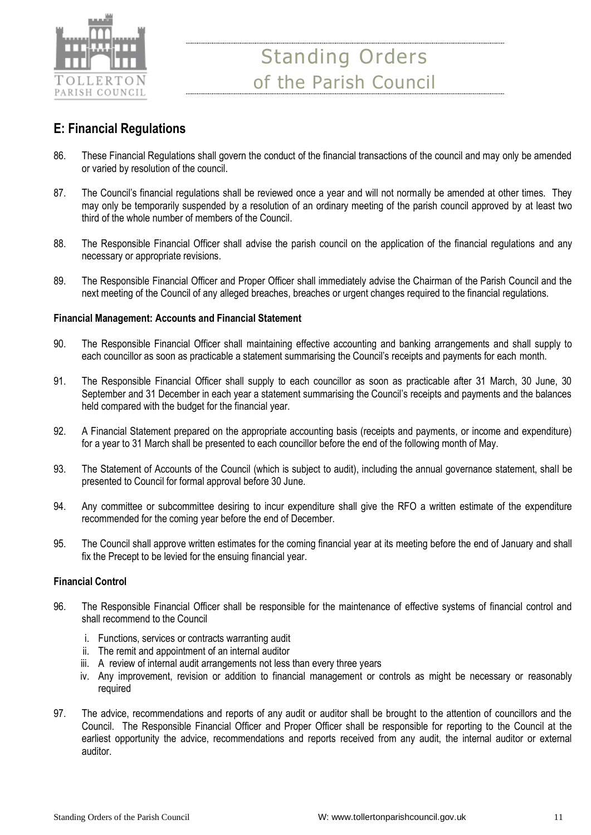

# **E: Financial Regulations**

- 86. These Financial Regulations shall govern the conduct of the financial transactions of the council and may only be amended or varied by resolution of the council.
- 87. The Council's financial regulations shall be reviewed once a year and will not normally be amended at other times. They may only be temporarily suspended by a resolution of an ordinary meeting of the parish council approved by at least two third of the whole number of members of the Council.
- 88. The Responsible Financial Officer shall advise the parish council on the application of the financial regulations and any necessary or appropriate revisions.
- 89. The Responsible Financial Officer and Proper Officer shall immediately advise the Chairman of the Parish Council and the next meeting of the Council of any alleged breaches, breaches or urgent changes required to the financial regulations.

## **Financial Management: Accounts and Financial Statement**

- 90. The Responsible Financial Officer shall maintaining effective accounting and banking arrangements and shall supply to each councillor as soon as practicable a statement summarising the Council's receipts and payments for each month.
- 91. The Responsible Financial Officer shall supply to each councillor as soon as practicable after 31 March, 30 June, 30 September and 31 December in each year a statement summarising the Council's receipts and payments and the balances held compared with the budget for the financial year.
- 92. A Financial Statement prepared on the appropriate accounting basis (receipts and payments, or income and expenditure) for a year to 31 March shall be presented to each councillor before the end of the following month of May.
- 93. The Statement of Accounts of the Council (which is subject to audit), including the annual governance statement, shall be presented to Council for formal approval before 30 June.
- 94. Any committee or subcommittee desiring to incur expenditure shall give the RFO a written estimate of the expenditure recommended for the coming year before the end of December.
- 95. The Council shall approve written estimates for the coming financial year at its meeting before the end of January and shall fix the Precept to be levied for the ensuing financial year.

### **Financial Control**

- 96. The Responsible Financial Officer shall be responsible for the maintenance of effective systems of financial control and shall recommend to the Council
	- i. Functions, services or contracts warranting audit
	- ii. The remit and appointment of an internal auditor
	- iii. A review of internal audit arrangements not less than every three years
	- iv. Any improvement, revision or addition to financial management or controls as might be necessary or reasonably required
- 97. The advice, recommendations and reports of any audit or auditor shall be brought to the attention of councillors and the Council. The Responsible Financial Officer and Proper Officer shall be responsible for reporting to the Council at the earliest opportunity the advice, recommendations and reports received from any audit, the internal auditor or external auditor.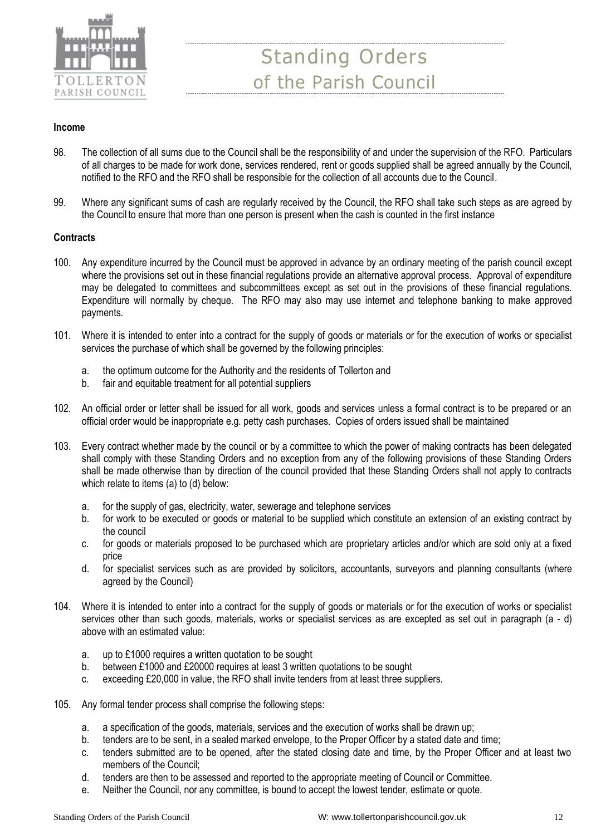

### **Income**

- 98. The collection of all sums due to the Council shall be the responsibility of and under the supervision of the RFO. Particulars of all charges to be made for work done, services rendered, rent or goods supplied shall be agreed annually by the Council, notified to the RFO and the RFO shall be responsible for the collection of all accounts due to the Council.
- 99. Where any significant sums of cash are regularly received by the Council, the RFO shall take such steps as are agreed by the Council to ensure that more than one person is present when the cash is counted in the first instance

### **Contracts**

- 100. Any expenditure incurred by the Council must be approved in advance by an ordinary meeting of the parish council except where the provisions set out in these financial regulations provide an alternative approval process. Approval of expenditure may be delegated to committees and subcommittees except as set out in the provisions of these financial regulations. Expenditure will normally by cheque. The RFO may also may use internet and telephone banking to make approved payments.
- 101. Where it is intended to enter into a contract for the supply of goods or materials or for the execution of works or specialist services the purchase of which shall be governed by the following principles:
	- a. the optimum outcome for the Authority and the residents of Tollerton and
	- b. fair and equitable treatment for all potential suppliers
- 102. An official order or letter shall be issued for all work, goods and services unless a formal contract is to be prepared or an official order would be inappropriate e.g. petty cash purchases. Copies of orders issued shall be maintained
- 103. Every contract whether made by the council or by a committee to which the power of making contracts has been delegated shall comply with these Standing Orders and no exception from any of the following provisions of these Standing Orders shall be made otherwise than by direction of the council provided that these Standing Orders shall not apply to contracts which relate to items (a) to (d) below:
	- a. for the supply of gas, electricity, water, sewerage and telephone services
	- b. for work to be executed or goods or material to be supplied which constitute an extension of an existing contract by the council
	- c. for goods or materials proposed to be purchased which are proprietary articles and/or which are sold only at a fixed price
	- d. for specialist services such as are provided by solicitors, accountants, surveyors and planning consultants (where agreed by the Council)
- 104. Where it is intended to enter into a contract for the supply of goods or materials or for the execution of works or specialist services other than such goods, materials, works or specialist services as are excepted as set out in paragraph (a - d) above with an estimated value:
	- a. up to £1000 requires a written quotation to be sought
	- b. between £1000 and £20000 requires at least 3 written quotations to be sought
	- c. exceeding £20,000 in value, the RFO shall invite tenders from at least three suppliers.
- 105. Any formal tender process shall comprise the following steps:
	- a. a specification of the goods, materials, services and the execution of works shall be drawn up;
	- b. tenders are to be sent, in a sealed marked envelope, to the Proper Officer by a stated date and time;
	- c. tenders submitted are to be opened, after the stated closing date and time, by the Proper Officer and at least two members of the Council;
	- d. tenders are then to be assessed and reported to the appropriate meeting of Council or Committee.
	- e. Neither the Council, nor any committee, is bound to accept the lowest tender, estimate or quote.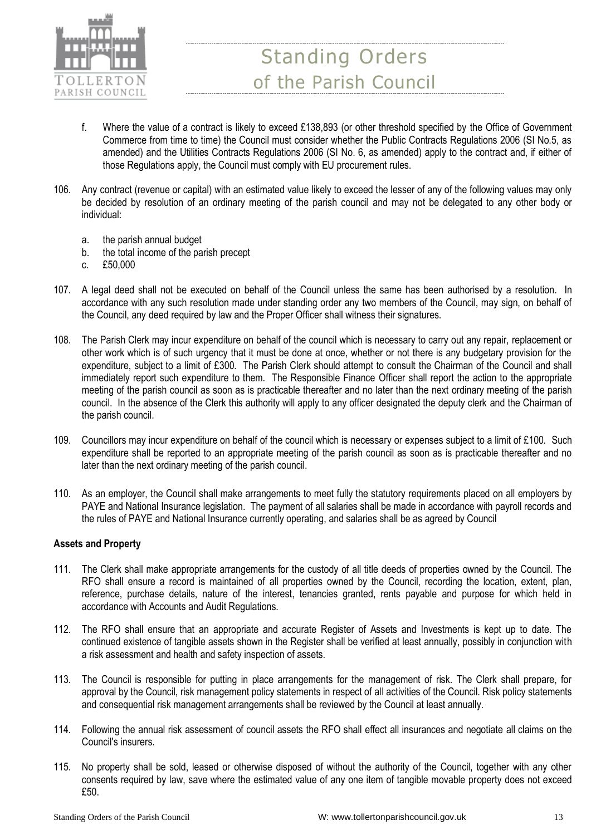

- f. Where the value of a contract is likely to exceed £138,893 (or other threshold specified by the Office of Government Commerce from time to time) the Council must consider whether the Public Contracts Regulations 2006 (SI No.5, as amended) and the Utilities Contracts Regulations 2006 (SI No. 6, as amended) apply to the contract and, if either of those Regulations apply, the Council must comply with EU procurement rules.
- 106. Any contract (revenue or capital) with an estimated value likely to exceed the lesser of any of the following values may only be decided by resolution of an ordinary meeting of the parish council and may not be delegated to any other body or individual:
	- a. the parish annual budget
	- b. the total income of the parish precept
	- c. £50,000
- 107. A legal deed shall not be executed on behalf of the Council unless the same has been authorised by a resolution. In accordance with any such resolution made under standing order any two members of the Council, may sign, on behalf of the Council, any deed required by law and the Proper Officer shall witness their signatures.
- 108. The Parish Clerk may incur expenditure on behalf of the council which is necessary to carry out any repair, replacement or other work which is of such urgency that it must be done at once, whether or not there is any budgetary provision for the expenditure, subject to a limit of £300. The Parish Clerk should attempt to consult the Chairman of the Council and shall immediately report such expenditure to them. The Responsible Finance Officer shall report the action to the appropriate meeting of the parish council as soon as is practicable thereafter and no later than the next ordinary meeting of the parish council. In the absence of the Clerk this authority will apply to any officer designated the deputy clerk and the Chairman of the parish council.
- 109. Councillors may incur expenditure on behalf of the council which is necessary or expenses subject to a limit of £100. Such expenditure shall be reported to an appropriate meeting of the parish council as soon as is practicable thereafter and no later than the next ordinary meeting of the parish council.
- 110. As an employer, the Council shall make arrangements to meet fully the statutory requirements placed on all employers by PAYE and National Insurance legislation. The payment of all salaries shall be made in accordance with payroll records and the rules of PAYE and National Insurance currently operating, and salaries shall be as agreed by Council

### **Assets and Property**

- 111. The Clerk shall make appropriate arrangements for the custody of all title deeds of properties owned by the Council. The RFO shall ensure a record is maintained of all properties owned by the Council, recording the location, extent, plan, reference, purchase details, nature of the interest, tenancies granted, rents payable and purpose for which held in accordance with Accounts and Audit Regulations.
- 112. The RFO shall ensure that an appropriate and accurate Register of Assets and Investments is kept up to date. The continued existence of tangible assets shown in the Register shall be verified at least annually, possibly in conjunction with a risk assessment and health and safety inspection of assets.
- 113. The Council is responsible for putting in place arrangements for the management of risk. The Clerk shall prepare, for approval by the Council, risk management policy statements in respect of all activities of the Council. Risk policy statements and consequential risk management arrangements shall be reviewed by the Council at least annually.
- 114. Following the annual risk assessment of council assets the RFO shall effect all insurances and negotiate all claims on the Council's insurers.
- 115. No property shall be sold, leased or otherwise disposed of without the authority of the Council, together with any other consents required by law, save where the estimated value of any one item of tangible movable property does not exceed £50.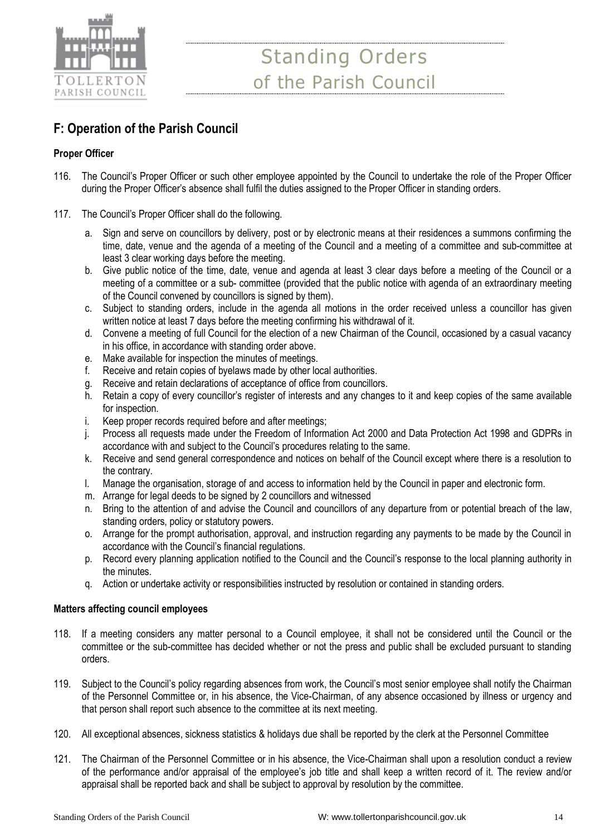

# **F: Operation of the Parish Council**

## **Proper Officer**

- 116. The Council's Proper Officer or such other employee appointed by the Council to undertake the role of the Proper Officer during the Proper Officer's absence shall fulfil the duties assigned to the Proper Officer in standing orders.
- 117. The Council's Proper Officer shall do the following.
	- a. Sign and serve on councillors by delivery, post or by electronic means at their residences a summons confirming the time, date, venue and the agenda of a meeting of the Council and a meeting of a committee and sub-committee at least 3 clear working days before the meeting.
	- b. Give public notice of the time, date, venue and agenda at least 3 clear days before a meeting of the Council or a meeting of a committee or a sub- committee (provided that the public notice with agenda of an extraordinary meeting of the Council convened by councillors is signed by them).
	- c. Subject to standing orders, include in the agenda all motions in the order received unless a councillor has given written notice at least 7 days before the meeting confirming his withdrawal of it.
	- d. Convene a meeting of full Council for the election of a new Chairman of the Council, occasioned by a casual vacancy in his office, in accordance with standing order above.
	- e. Make available for inspection the minutes of meetings.
	- f. Receive and retain copies of byelaws made by other local authorities.
	- g. Receive and retain declarations of acceptance of office from councillors.
	- h. Retain a copy of every councillor's register of interests and any changes to it and keep copies of the same available for inspection.
	- i. Keep proper records required before and after meetings;
	- j. Process all requests made under the Freedom of Information Act 2000 and Data Protection Act 1998 and GDPRs in accordance with and subject to the Council's procedures relating to the same.
	- k. Receive and send general correspondence and notices on behalf of the Council except where there is a resolution to the contrary.
	- l. Manage the organisation, storage of and access to information held by the Council in paper and electronic form.
	- m. Arrange for legal deeds to be signed by 2 councillors and witnessed
	- n. Bring to the attention of and advise the Council and councillors of any departure from or potential breach of the law, standing orders, policy or statutory powers.
	- o. Arrange for the prompt authorisation, approval, and instruction regarding any payments to be made by the Council in accordance with the Council's financial regulations.
	- p. Record every planning application notified to the Council and the Council's response to the local planning authority in the minutes.
	- q. Action or undertake activity or responsibilities instructed by resolution or contained in standing orders.

### **Matters affecting council employees**

- 118. If a meeting considers any matter personal to a Council employee, it shall not be considered until the Council or the committee or the sub-committee has decided whether or not the press and public shall be excluded pursuant to standing orders.
- 119. Subject to the Council's policy regarding absences from work, the Council's most senior employee shall notify the Chairman of the Personnel Committee or, in his absence, the Vice-Chairman, of any absence occasioned by illness or urgency and that person shall report such absence to the committee at its next meeting.
- 120. All exceptional absences, sickness statistics & holidays due shall be reported by the clerk at the Personnel Committee
- 121. The Chairman of the Personnel Committee or in his absence, the Vice-Chairman shall upon a resolution conduct a review of the performance and/or appraisal of the employee's job title and shall keep a written record of it. The review and/or appraisal shall be reported back and shall be subject to approval by resolution by the committee.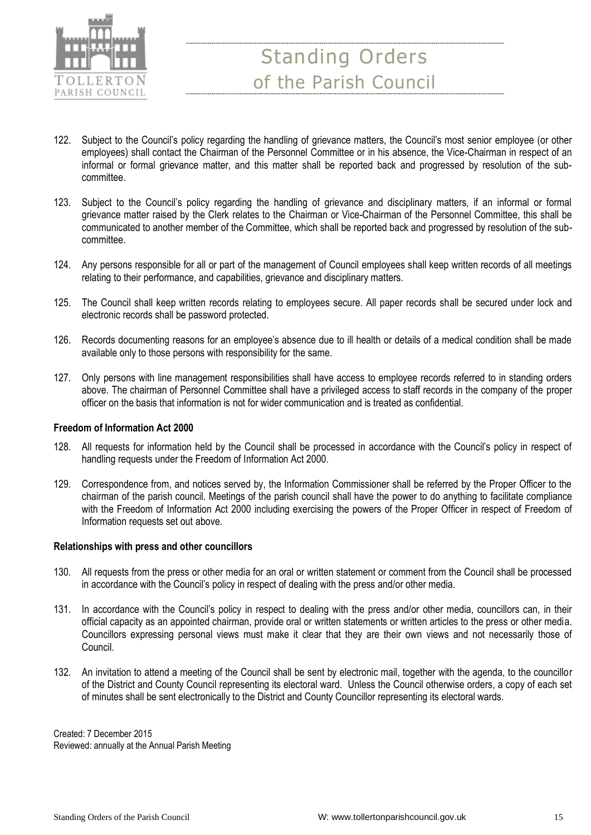

- 122. Subject to the Council's policy regarding the handling of grievance matters, the Council's most senior employee (or other employees) shall contact the Chairman of the Personnel Committee or in his absence, the Vice-Chairman in respect of an informal or formal grievance matter, and this matter shall be reported back and progressed by resolution of the subcommittee.
- 123. Subject to the Council's policy regarding the handling of grievance and disciplinary matters, if an informal or formal grievance matter raised by the Clerk relates to the Chairman or Vice-Chairman of the Personnel Committee, this shall be communicated to another member of the Committee, which shall be reported back and progressed by resolution of the subcommittee.
- 124. Any persons responsible for all or part of the management of Council employees shall keep written records of all meetings relating to their performance, and capabilities, grievance and disciplinary matters.
- 125. The Council shall keep written records relating to employees secure. All paper records shall be secured under lock and electronic records shall be password protected.
- 126. Records documenting reasons for an employee's absence due to ill health or details of a medical condition shall be made available only to those persons with responsibility for the same.
- 127. Only persons with line management responsibilities shall have access to employee records referred to in standing orders above. The chairman of Personnel Committee shall have a privileged access to staff records in the company of the proper officer on the basis that information is not for wider communication and is treated as confidential.

### **Freedom of Information Act 2000**

- 128. All requests for information held by the Council shall be processed in accordance with the Council's policy in respect of handling requests under the Freedom of Information Act 2000.
- 129. Correspondence from, and notices served by, the Information Commissioner shall be referred by the Proper Officer to the chairman of the parish council. Meetings of the parish council shall have the power to do anything to facilitate compliance with the Freedom of Information Act 2000 including exercising the powers of the Proper Officer in respect of Freedom of Information requests set out above.

#### **Relationships with press and other councillors**

- 130. All requests from the press or other media for an oral or written statement or comment from the Council shall be processed in accordance with the Council's policy in respect of dealing with the press and/or other media.
- 131. In accordance with the Council's policy in respect to dealing with the press and/or other media, councillors can, in their official capacity as an appointed chairman, provide oral or written statements or written articles to the press or other media. Councillors expressing personal views must make it clear that they are their own views and not necessarily those of Council.
- 132. An invitation to attend a meeting of the Council shall be sent by electronic mail, together with the agenda, to the councillor of the District and County Council representing its electoral ward. Unless the Council otherwise orders, a copy of each set of minutes shall be sent electronically to the District and County Councillor representing its electoral wards.

Created: 7 December 2015 Reviewed: annually at the Annual Parish Meeting